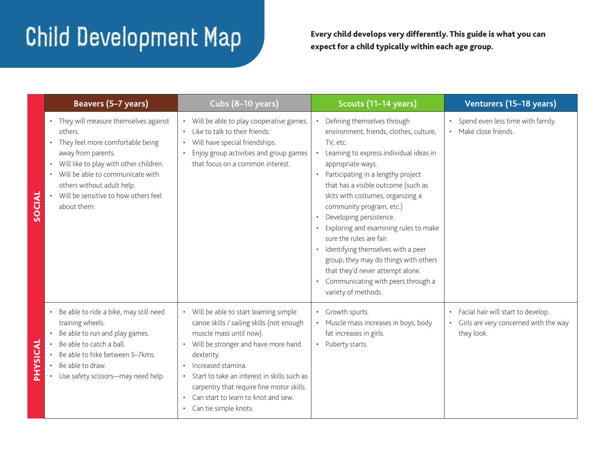## $\mathbf{C}\text{-}\mathbf{C}$   $\mathbf{C}$   $\mathbf{C}$   $\mathbf{C}$   $\mathbf{C}$   $\mathbf{C}$   $\mathbf{C}$   $\mathbf{C}$   $\mathbf{C}$   $\mathbf{C}$   $\mathbf{C}$   $\mathbf{C}$   $\mathbf{C}$   $\mathbf{C}$   $\mathbf{C}$   $\mathbf{C}$   $\mathbf{C}$   $\mathbf{C}$   $\mathbf{C}$   $\mathbf{C}$   $\mathbf{C}$   $\mathbf{C}$   $\mathbf{C}$   $\mathbf{C$

expect for a child typically within each age group.

|    | Beavers (5-7 years)                                                                                                                                                                                                                                                                                                   | Cubs (8-10 years)                                                                                                                                                                                                                                                                                                                                                                  | Scouts (11-14 years)                                                                                                                                                                                                                                                                                                                                                                                                                                                                                                                                                                                  | Venturers (15-18 years)                                                                                |
|----|-----------------------------------------------------------------------------------------------------------------------------------------------------------------------------------------------------------------------------------------------------------------------------------------------------------------------|------------------------------------------------------------------------------------------------------------------------------------------------------------------------------------------------------------------------------------------------------------------------------------------------------------------------------------------------------------------------------------|-------------------------------------------------------------------------------------------------------------------------------------------------------------------------------------------------------------------------------------------------------------------------------------------------------------------------------------------------------------------------------------------------------------------------------------------------------------------------------------------------------------------------------------------------------------------------------------------------------|--------------------------------------------------------------------------------------------------------|
|    | They will measure themselves against<br>$\bullet$<br>others.<br>They feel more comfortable being<br>$\bullet$<br>away from parents.<br>Will like to play with other children.<br>$\bullet$<br>• Will be able to communicate with<br>others without adult help.<br>Will be sensitive to how others feel<br>about them. | • Will be able to play cooperative games.<br>Like to talk to their friends.<br>Will have special friendships.<br>Enjoy group activities and group games<br>that focus on a common interest.                                                                                                                                                                                        | Defining themselves through<br>environment, friends, clothes, culture,<br>TV, etc.<br>• Learning to express individual ideas in<br>appropriate ways.<br>• Participating in a lengthy project<br>that has a visible outcome (such as<br>skits with costumes, organizing a<br>community program, etc.)<br>Developing persistence.<br>$\bullet$<br>Exploring and examining rules to make<br>sure the rules are fair.<br>• Identifying themselves with a peer<br>group; they may do things with others<br>that they'd never attempt alone.<br>• Communicating with peers through a<br>variety of methods. | Spend even less time with family.<br>Make close friends.                                               |
| ភ៊ | Be able to ride a bike, may still need<br>$\bullet$<br>training wheels.<br>Be able to run and play games.<br>Be able to catch a ball.<br>Be able to hike between 5-7kms.<br>Be able to draw.<br>• Use safety scissors-may need help.                                                                                  | • Will be able to start learning simple<br>canoe skills / sailing skills (not enough<br>muscle mass until now).<br>Will be stronger and have more hand<br>dexterity.<br>Increased stamina.<br>$\bullet$<br>Start to take an interest in skills such as<br>carpentry that require fine motor skills.<br>Can start to learn to knot and sew.<br>$\bullet$<br>• Can tie simple knots. | • Growth spurts.<br>• Muscle mass increases in boys, body<br>fat increases in girls.<br>• Puberty starts.                                                                                                                                                                                                                                                                                                                                                                                                                                                                                             | Facial hair will start to develop.<br>$\bullet$<br>Girls are very concerned with the way<br>they look. |